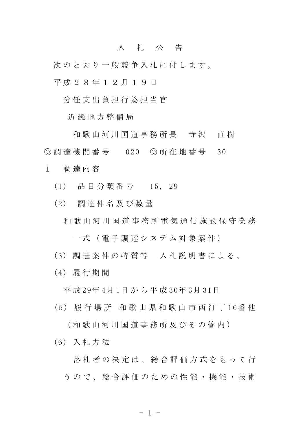## 入 札 公 告

次のとおり一般競争入札に付します。 平 成 2 8 年 1 2 月 1 9 日

分 任 支 出 負 担 行 為 担 当 官

近 畿 地 方 整 備 局

和 歌 山 河 川 国 道 事 務 所 長 寺 沢 直 樹 ◎ 調 達 機 関 番 号 020 ◎ 所 在 地 番 号 30

1 調 達 内 容

(1) 品 目 分 類 番 号 15, 29

(2) 調 達 件 名 及 び 数 量

和 歌 山 河 川 国 道 事 務 所 電 気 通 信 施 設 保 守 業 務

一 式 ( 電 子 調 達 シ ス テ ム 対 象 案 件 )

(3) 調 達 案 件 の 特 質 等 入 札 説 明 書 に よ る 。

(4) 履 行 期 間

平 成 29年 4月 1日 か ら 平 成 30年 3月 31日

( 5 ) 履 行 場 所 和 歌 山 県 和 歌 山 市 西 汀 丁 1 6番 他

( 和 歌 山 河 川 国 道 事 務 所 及 び そ の 管 内 )

(6) 入 札 方 法

落 札 者 の 決 定 は 、 総 合 評 価 方 式 を も っ て 行 う の で 、 総 合 評 価 の た め の 性 能 ・ 機 能 ・ 技 術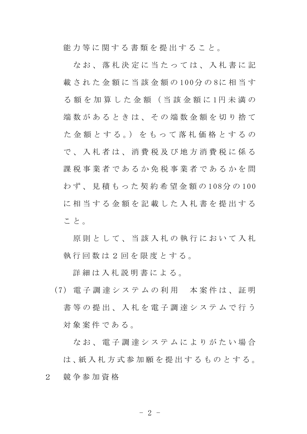能力等に関する書類を提出すること。

なお、 落 札 決 定 に 当 た っ て は 、 入 札 書 に 記 載 された金額に当該金額の100分の8に相当す る 額 を 加 算 し た 金 額 ( 当 該 金 額 に 1円 未 満 の 端数があるときは、その端数金額を切り捨て た 金 額 と す る 。) を も っ て 落 札 価 格 と す る の で 、 入 札 者 は 、 消 費 税 及 び 地 方 消 費 税 に 係 る 課税事業者であるか免税事業者であるかを問 わ ず 、 見 積 も っ た 契 約 希 望 金 額 の 1 08分 の 100 に相当する金額を記載した入札書を提出する こと。

原則として、当該入札の執行において入札 執 行 回 数 は 2 回 を 限 度 と す る 。

詳細は入札説明書による。

( 7 ) 電 子 調 達 シ ス テ ム の 利 用 本 案 件 は 、 証 明 書等の提出、入札を電子調達システムで行う 対象案件である。

な お 、 電 子 調 達 シ ス テ ム に よ り が た い 場 合 は、紙入札方式参加願を提出するものとする。 2 競 争 参 加 資 格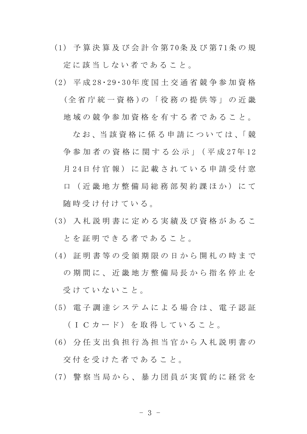( 1 ) 予 算 決 算 及 び 会 計 令 第 7 0条 及 び 第 7 1条 の 規 定 に 該 当 し な い 者 で あ る こ と 。

( 2 ) 平 成 2 8・ 2 9 ・ 3 0年 度 国 土 交 通 省 競 争 参 加 資 格 (全 省 庁 統 一 資 格 )の 「 役 務 の 提 供 等 」 の 近 畿 地 域 の 競 争 参 加 資 格 を 有 す る 者 で あ る こ と 。

な お 、 当 該 資 格 に 係 る 申 請 に つ い て は 、 「 競 争参加者の資格に関する公示」(平成27年12 月 24日 付 官 報 ) に 記 載 さ れ て い る 申 請 受 付 窓 口 ( 近 畿 地 方 整 備 局 総 務 部 契 約 課 ほ か ) に て 随 時 受 け 付 け て い る 。

- ( 3 ) 入 札 説 明 書 に 定 め る 実 績 及 び 資 格 が あ る こ と を 証 明 で き る 者 で あ る こ と 。
- ( 4 ) 証 明 書 等 の 受 領 期 限 の 日 か ら 開 札 の 時 ま で の 期 間 に 、 近 畿 地 方 整 備 局 長 か ら 指 名 停 止 を 受 け て い な い こ と 。
- (5) 電子調達 システムによる場合は、電子認証
	- (ICカード) を取得していること。
- ( 6 ) 分 任 支 出 負 担 行 為 担 当 官 か ら 入 札 説 明 書 の

交 付 を 受 け た 者 で あ る こ と 。

( 7 ) 警 察 当 局 か ら 、 暴 力 団 員 が 実 質 的 に 経 営 を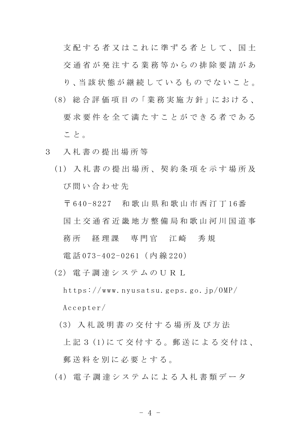支配する者又はこれに準ずる者として、国土 交 通 省 が 発 注 す る 業 務 等 か ら の 排 除 要 請 が あ り 、当 該 状 態 が 継 続 し て い る も の で な い こ と 。 (8) 総 合 評 価 項 目 の「 業 務 実 施 方 針 」に お け る 、 要求要件を全て満たすことができる者である こと。

- 3 入 札 書 の 提 出 場 所 等
	- ( 1 ) 入 札 書 の 提 出 場 所 、 契 約 条 項 を 示 す 場 所 及 び 問 い 合 わ せ 先

〒 640-8227 和 歌 山 県 和 歌 山 市 西 汀 丁 16番 国 土 交 通 省 近 畿 地 方 整 備 局 和 歌 山 河 川 国 道 事 務所 経理課 専門官 江崎 秀規

電話 073-402-0261 (内線 220)

- (2) 電 子 調 達 シ ス テ ム の U R L  $h$ ttps://www.nyusatsu.geps.go.jp/0MP/ Accepter/
	- (3) 入 札 説 明 書 の 交 付 す る 場 所 及 び 方 法 上 記 3 (1)に て 交 付 す る 。郵 送 に よ る 交 付 は 、 郵送料を別に必要とする。
- ( 4 ) 電 子 調 達 シ ス テ ム に よ る 入 札 書 類 デ ー タ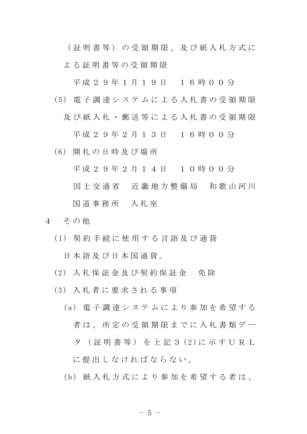( 証 明 書 等 ) の 受 領 期 限 、 及 び 紙 入 札 方 式 に

よ る 証 明 書 等 の 受 領 期 限

平成 2 9 年 1 月 1 9 日 1 6 時 0 0 分

- ( 5 ) 電 子 調 達 シ ス テ ム に よ る 入 札 書 の 受 領 期 限
	- 及 び 紙 入 札 ・ 郵 送 等 に よ る 入 札 書 の 受 領 期 限

平成 2 9 年 2 月 1 3 日 1 6 時 0 0 分

(6) 開 札 の 日 時 及 び 場 所

平成 2 9 年 2 月 1 4 日 1 0 時 0 0 分

国土 交 通 省 近 畿 地 方 整 備 局 和 歌 山 河 川

## 国 道 事 務 所 入 札 室

- 4 その他
	- ( 1 ) 契 約 手 続 に 使 用 す る 言 語 及 び 通 貨

日 本 語 及 び 日 本 国 通 貨 。

- (2) 入 札 保 証 金 及 び 契 約 保 証 金 免 除
- (3) 入 札 者 に 要 求 さ れ る 事 項
	- (a) 電子調達システムにより参加を希望する 者は、所定の受領期限までに入札書類デー タ (証 明 書 等) を 上 記 3 (2)に 示 す U R L

に 提 出 し な け れ ば な ら な い 。

(b) 紙 入 札 方 式 に よ り 参 加 を 希 望 す る 者 は、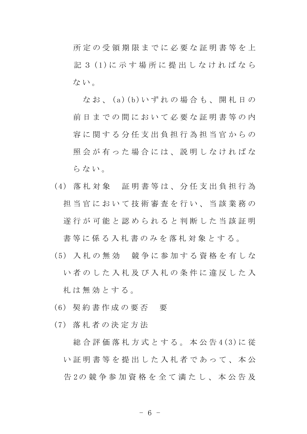所 定 の 受 領 期 限 ま で に 必 要 な 証 明 書 等 を 上 記 3 (1)に示す場所に提出しなければなら ない。

なお、(a)(b)いずれの場合も、開札日の 前日までの間において必要な証明書等の内 容 に 関 す る 分 任 支 出 負 担 行 為 担 当 官 か ら の 照会が有った場合には、説明しなければな らない。

- ( 4 ) 落 札 対 象 証 明 書 等 は 、 分 任 支 出 負 担 行 為 担 当 官 に お い て 技 術 審 査 を 行 い 、 当 該 業 務 の 遂 行 が 可 能 と 認 め ら れ る と 判 断 し た 当 該 証 明 書等に係る入札書のみを落札対象とする。
- ( 5 ) 入 札 の 無 効 競 争 に 参 加 す る 資 格 を 有 し な い 者 の し た 入 札 及 び 入 札 の 条 件 に 違 反 し た 入 札 は 無 効 と す る 。
- (6) 契 約 書 作 成 の 要 否 要
- (7) 落 札 者 の 決 定 方 法

総合評価落札方式とする。本公告4(3)に従 い証明書等を提出した入札者であって、本公 告 2の 競 争 参 加 資 格 を 全 て 満 た し 、 本 公 告 及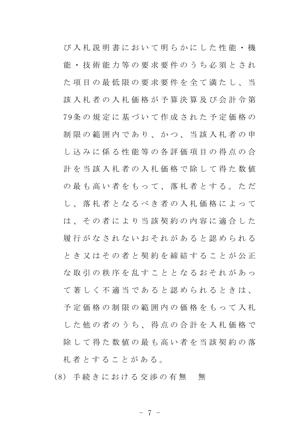び 入 札 説 明 書 に お い て 明 ら か に し た 性 能 ・ 機 能 ・ 技 術 能 力 等 の 要 求 要 件 の う ち 必 須 と さ れ た 項 目 の 最 低 限 の 要 求 要 件 を 全 て 満 た し 、 当 該 入 札 者 の 入 札 価 格 が 予 算 決 算 及 び 会 計 令 第 7 9条 の 規 定 に 基 づ い て 作 成 さ れ た 予 定 価 格 の 制限の範囲内であり、かつ、当該入札者の申 し 込 み に 係 る 性 能 等 の 各 評 価 項 目 の 得 点 の 合 計 を 当 該 入 札 者 の 入 札 価 格 で 除 し て 得 た 数 値 の最も高い者をもって、落札者とする。ただ し 、 落 札 者 と な る べ き 者 の 入 札 価 格 に よ っ て は、その者により当該契約の内容に適合した 履 行 が な さ れ な い お そ れ が あ る と 認 め ら れ る と き 又 は そ の 者 と 契 約 を 締 結 す る こ と が 公 正 な 取 引 の 秩 序 を 乱 す こ と と な る お そ れ が あ っ て 著 し く 不 適 当 で あ る と 認 め ら れ る と き は 、 予 定 価 格 の 制 限 の 範 囲 内 の 価 格 を も っ て 入 札 した他の者のうち、得点の合計を入札価格で 除して得た数 値の 最 も 高 い 者 を 当 該 契 約 の 落 札 者 と す る こ と が あ る 。

(8) 手続きにおける交渉の有無 無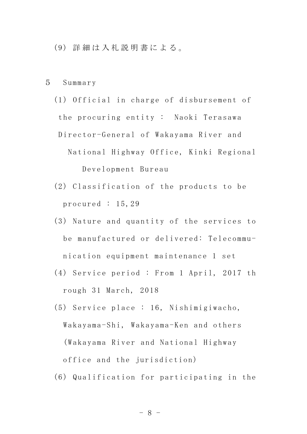- (9) 詳 細 は 入 札 説 明 書 に よ る 。
- 5 Summary

(1) Official in charge of disbursement of the procuring entity: Naoki Terasawa Director-General of Wakayama River and National Highway Office, Kinki Regional Development Bureau

- (2) Classification of the products to be procured : 15,29
- (3) Nature and quantity of the services to be manufactured or delivered: Telecommunication equipment maintenance 1 set
- (4) Service period : From 1 April, 2017 th rough 31 March, 2018
- (5) Se rvi ce p la ce : 16 , Nishimi giwacho, Wakayama-Shi, Wakayama-Ken and others (Wakayama River and National Highway office and the jurisdiction)
- (6) Qualification for participating in the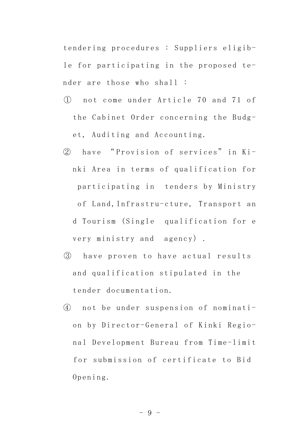tendering procedures : Suppliers eligible for participating in the proposed tender are those who shall :

- ① n o t c o m e u n d e r A r t i c l e 7 0 a n d 7 1 o f the Cabinet Order concerning the Budget, Auditing and Accounting.
- 2 have "Provision of services" in Kinki Area in terms of qualification for participating in tenders by Ministry of Land, Infrastru-cture, Transport an d Tourism (Single qualification for e very ministry and agency) .
- 3 have proven to have actual results and qualification stipulated in the tender documentation.
- 4 not be under suspension of nomination by Director-General of Kinki Regional Development Bureau from Time-limit for submission of certificate to Bid Opening.

- 9 -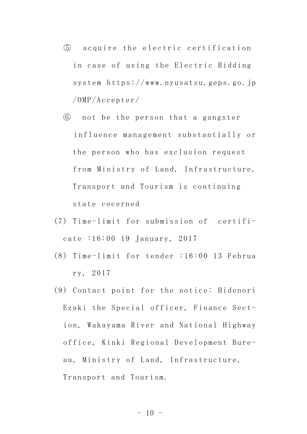- **6** acquire the electric certification in case of using the Electric Bidding system https://www.nyusatsu.geps.go.jp /OMP/Accepter/
- ⑥ not be the person that a gangster influence management substantially or the person who has exclusion request from Ministry of Land, Infrastructure, Transport and Tourism is continuing state cocerned
- $(7)$  Time-limit for submission of certificate :16:00 19 January, 2017
- (8) Time-limit for tender  $:16:00$  13 Februa ry, 2017
- $(9)$  Contact point for the notice: Hidenori Ezaki the Special officer, Finance Section, Wakayama River and National Highway office, Kinki Regional Development Bureau, Ministry of Land, Infrastructure, Transport and Tourism.